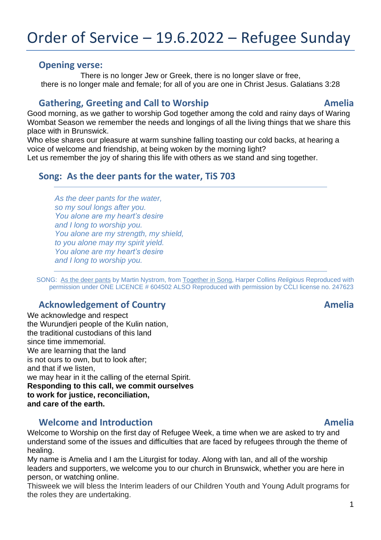## **Opening verse:**

There is no longer Jew or Greek, there is no longer slave or free, there is no longer male and female; for all of you are one in Christ Jesus. Galatians 3:28

# **Gathering, Greeting and Call to Worship Amelia Amelia**

Good morning, as we gather to worship God together among the cold and rainy days of Waring Wombat Season we remember the needs and longings of all the living things that we share this place with in Brunswick.

Who else shares our pleasure at warm sunshine falling toasting our cold backs, at hearing a voice of welcome and friendship, at being woken by the morning light?

Let us remember the joy of sharing this life with others as we stand and sing together.

# **Song: As the deer pants for the water, TiS 703**

*As the deer pants for the water, so my soul longs after you. You alone are my heart's desire and I long to worship you. You alone are my strength, my shield, to you alone may my spirit yield. You alone are my heart's desire and I long to worship you.*

SONG: As the deer pants by Martin Nystrom, from Together in Song, Harper Collins *Religious* Reproduced with permission under ONE LICENCE # 604502 ALSO Reproduced with permission by CCLI license no. 247623

## Acknowledgement of Country **Amelia Amelia Amelia**

We acknowledge and respect the Wurundjeri people of the Kulin nation, the traditional custodians of this land since time immemorial. We are learning that the land is not ours to own, but to look after; and that if we listen, we may hear in it the calling of the eternal Spirit. **Responding to this call, we commit ourselves to work for justice, reconciliation, and care of the earth.** 

# **Welcome and Introduction Amelia** Amelia

Welcome to Worship on the first day of Refugee Week, a time when we are asked to try and understand some of the issues and difficulties that are faced by refugees through the theme of healing.

My name is Amelia and I am the Liturgist for today. Along with Ian, and all of the worship leaders and supporters, we welcome you to our church in Brunswick, whether you are here in person, or watching online.

Thisweek we will bless the Interim leaders of our Children Youth and Young Adult programs for the roles they are undertaking.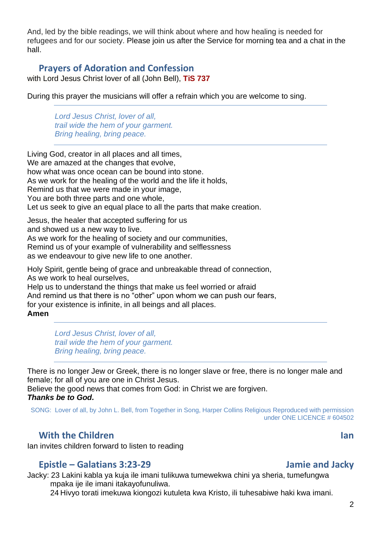And, led by the bible readings, we will think about where and how healing is needed for refugees and for our society. Please join us after the Service for morning tea and a chat in the hall.

# **Prayers of Adoration and Confession**

with Lord Jesus Christ lover of all (John Bell), **TiS 737**

During this prayer the musicians will offer a refrain which you are welcome to sing.

*Lord Jesus Christ, lover of all, trail wide the hem of your garment. Bring healing, bring peace.*

Living God, creator in all places and all times, We are amazed at the changes that evolve, how what was once ocean can be bound into stone. As we work for the healing of the world and the life it holds, Remind us that we were made in your image, You are both three parts and one whole, Let us seek to give an equal place to all the parts that make creation.

Jesus, the healer that accepted suffering for us and showed us a new way to live. As we work for the healing of society and our communities, Remind us of your example of vulnerability and selflessness as we endeavour to give new life to one another.

Holy Spirit, gentle being of grace and unbreakable thread of connection, As we work to heal ourselves, Help us to understand the things that make us feel worried or afraid And remind us that there is no "other" upon whom we can push our fears, for your existence is infinite, in all beings and all places. **Amen**

> *Lord Jesus Christ, lover of all, trail wide the hem of your garment. Bring healing, bring peace.*

There is no longer Jew or Greek, there is no longer slave or free, there is no longer male and female; for all of you are one in Christ Jesus.

Believe the good news that comes from God: in Christ we are forgiven. *Thanks be to God.*

SONG: Lover of all, by John L. Bell, from Together in Song, Harper Collins Religious Reproduced with permission under ONE LICENCE # 604502

# **With the Children Ian**

Ian invites children forward to listen to reading

## **Epistle – Galatians 3:23-29 Jamie and Jacky**

Jacky: 23 Lakini kabla ya kuja ile imani tulikuwa tumewekwa chini ya sheria, tumefungwa mpaka ije ile imani itakayofunuliwa.

24 Hivyo torati imekuwa kiongozi kutuleta kwa Kristo, ili tuhesabiwe haki kwa imani.

 $\mathfrak{D}$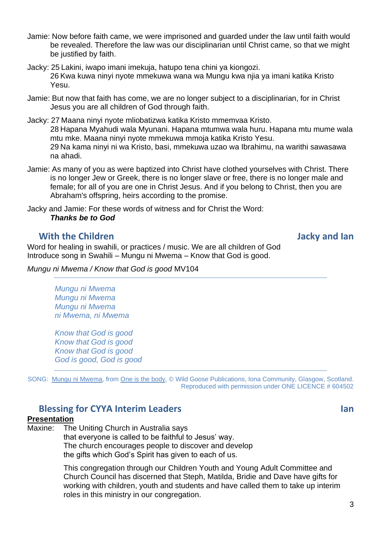- Jamie: Now before faith came, we were imprisoned and guarded under the law until faith would be revealed. Therefore the law was our disciplinarian until Christ came, so that we might be justified by faith.
- Jacky: 25 Lakini, iwapo imani imekuja, hatupo tena chini ya kiongozi. 26 Kwa kuwa ninyi nyote mmekuwa wana wa Mungu kwa njia ya imani katika Kristo Yesu.
- Jamie: But now that faith has come, we are no longer subject to a disciplinarian, for in Christ Jesus you are all children of God through faith.
- Jacky: 27 Maana ninyi nyote mliobatizwa katika Kristo mmemvaa Kristo. 28 Hapana Myahudi wala Myunani. Hapana mtumwa wala huru. Hapana mtu mume wala mtu mke. Maana ninyi nyote mmekuwa mmoja katika Kristo Yesu. 29 Na kama ninyi ni wa Kristo, basi, mmekuwa uzao wa Ibrahimu, na warithi sawasawa na ahadi.
- Jamie: As many of you as were baptized into Christ have clothed yourselves with Christ. There is no longer Jew or Greek, there is no longer slave or free, there is no longer male and female; for all of you are one in Christ Jesus. And if you belong to Christ, then you are Abraham's offspring, heirs according to the promise.

Jacky and Jamie: For these words of witness and for Christ the Word: *Thanks be to God*

## **With the Children Community Community Community Community Community Community Community Community Community Community Community Community Community Community Community Community Community Community Community Community Com**

Word for healing in swahili, or practices / music. We are all children of God Introduce song in Swahili – Mungu ni Mwema – Know that God is good.

*Mungu ni Mwema / Know that God is good* MV104

*Mungu ni Mwema Mungu ni Mwema Mungu ni Mwema ni Mwema, ni Mwema*

*Know that God is good Know that God is good Know that God is good God is good, God is good*

SONG: Mungu ni Mwema, from One is the body, © Wild Goose Publications, Iona Community, Glasgow, Scotland. Reproduced with permission under ONE LICENCE # 604502

# **Blessing for CYYA Interim Leaders Ian**

### **Presentation**

Maxine: The Uniting Church in Australia says

that everyone is called to be faithful to Jesus' way. The church encourages people to discover and develop the gifts which God's Spirit has given to each of us.

This congregation through our Children Youth and Young Adult Committee and Church Council has discerned that Steph, Matilda, Bridie and Dave have gifts for working with children, youth and students and have called them to take up interim roles in this ministry in our congregation.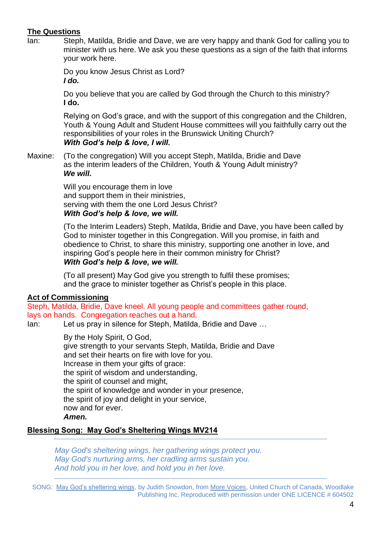### **The Questions**

Ian: Steph, Matilda, Bridie and Dave, we are very happy and thank God for calling you to minister with us here. We ask you these questions as a sign of the faith that informs your work here.

> Do you know Jesus Christ as Lord? *I do.*

Do you believe that you are called by God through the Church to this ministry? **I do.**

Relying on God's grace, and with the support of this congregation and the Children, Youth & Young Adult and Student House committees will you faithfully carry out the responsibilities of your roles in the Brunswick Uniting Church? *With God's help & love, I will.*

Maxine: (To the congregation) Will you accept Steph, Matilda, Bridie and Dave as the interim leaders of the Children, Youth & Young Adult ministry? *We will.*

> Will you encourage them in love and support them in their ministries, serving with them the one Lord Jesus Christ? *With God's help & love, we will.*

(To the Interim Leaders) Steph, Matilda, Bridie and Dave, you have been called by God to minister together in this Congregation. Will you promise, in faith and obedience to Christ, to share this ministry, supporting one another in love, and inspiring God's people here in their common ministry for Christ? *With God's help & love, we will.*

(To all present) May God give you strength to fulfil these promises; and the grace to minister together as Christ's people in this place.

### **Act of Commissioning**

Steph, Matilda, Bridie, Dave kneel. All young people and committees gather round, lays on hands. Congregation reaches out a hand.

Ian: Let us pray in silence for Steph, Matilda, Bridie and Dave …

By the Holy Spirit, O God, give strength to your servants Steph, Matilda, Bridie and Dave and set their hearts on fire with love for you. Increase in them your gifts of grace: the spirit of wisdom and understanding, the spirit of counsel and might, the spirit of knowledge and wonder in your presence, the spirit of joy and delight in your service, now and for ever. *Amen.*

### **Blessing Song: May God's Sheltering Wings MV214**

*May God's sheltering wings, her gathering wings protect you. May God's nurturing arms, her cradling arms sustain you. And hold you in her love, and hold you in her love.* 

SONG: May God's sheltering wings, by Judith Snowdon, from More Voices, United Church of Canada, Woodlake Publishing Inc. Reproduced with permission under ONE LICENCE # 604502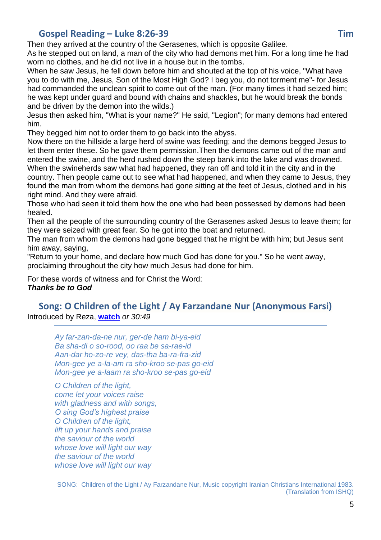# **Gospel Reading – Luke 8:26-39 Tim**

Then they arrived at the country of the Gerasenes, which is opposite Galilee.

As he stepped out on land, a man of the city who had demons met him. For a long time he had worn no clothes, and he did not live in a house but in the tombs.

When he saw Jesus, he fell down before him and shouted at the top of his voice, "What have you to do with me, Jesus, Son of the Most High God? I beg you, do not torment me"- for Jesus had commanded the unclean spirit to come out of the man. (For many times it had seized him: he was kept under guard and bound with chains and shackles, but he would break the bonds and be driven by the demon into the wilds.)

Jesus then asked him, "What is your name?" He said, "Legion"; for many demons had entered him.

They begged him not to order them to go back into the abyss.

Now there on the hillside a large herd of swine was feeding; and the demons begged Jesus to let them enter these. So he gave them permission.Then the demons came out of the man and entered the swine, and the herd rushed down the steep bank into the lake and was drowned. When the swineherds saw what had happened, they ran off and told it in the city and in the country. Then people came out to see what had happened, and when they came to Jesus, they found the man from whom the demons had gone sitting at the feet of Jesus, clothed and in his right mind. And they were afraid.

Those who had seen it told them how the one who had been possessed by demons had been healed.

Then all the people of the surrounding country of the Gerasenes asked Jesus to leave them; for they were seized with great fear. So he got into the boat and returned.

The man from whom the demons had gone begged that he might be with him; but Jesus sent him away, saying,

"Return to your home, and declare how much God has done for you." So he went away, proclaiming throughout the city how much Jesus had done for him.

For these words of witness and for Christ the Word: *Thanks be to God*

# **Song: O Children of the Light / Ay Farzandane Nur (Anonymous Farsi)**  Introduced by Reza, **[watch](https://youtu.be/Rk8yOH8n0A4?t=1849)** *or 30:49*

*Ay far-zan-da-ne nur, ger-de ham bi-ya-eid Ba sha-di o so-rood, oo raa be sa-rae-id Aan-dar ho-zo-re vey, das-tha ba-ra-fra-zid Mon-gee ye a-la-am ra sho-kroo se-pas go-eid Mon-gee ye a-laam ra sho-kroo se-pas go-eid*

*O Children of the light, come let your voices raise with gladness and with songs, O sing God's highest praise O Children of the light, lift up your hands and praise the saviour of the world whose love will light our way the saviour of the world whose love will light our way*

5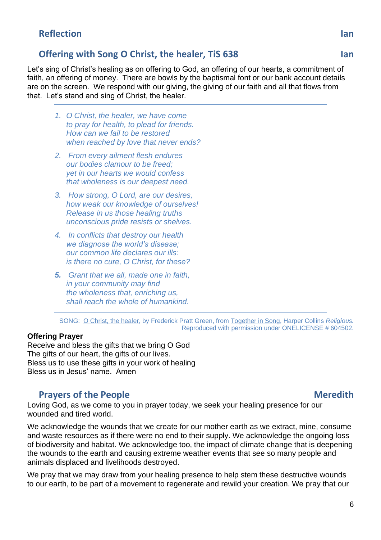6

# **Reflection Ian**

# **Offering with Song O Christ, the healer, TiS 638 Ian**

Let's sing of Christ's healing as on offering to God, an offering of our hearts, a commitment of faith, an offering of money. There are bowls by the baptismal font or our bank account details are on the screen. We respond with our giving, the giving of our faith and all that flows from that. Let's stand and sing of Christ, the healer.

- *1. O Christ, the healer, we have come to pray for health, to plead for friends. How can we fail to be restored when reached by love that never ends?*
- *2. From every ailment flesh endures our bodies clamour to be freed; yet in our hearts we would confess that wholeness is our deepest need.*
- *3. How strong, O Lord, are our desires, how weak our knowledge of ourselves! Release in us those healing truths unconscious pride resists or shelves.*
- *4. In conflicts that destroy our health we diagnose the world's disease; our common life declares our ills: is there no cure, O Christ, for these?*
- *5. Grant that we all, made one in faith, in your community may find the wholeness that, enriching us, shall reach the whole of humankind.*

SONG: O Christ, the healer, by Frederick Pratt Green, from Together in Song, Harper Collins *Religious.*  Reproduced with permission under ONELICENSE # 604502*.* 

### **Offering Prayer**

Receive and bless the gifts that we bring O God The gifts of our heart, the gifts of our lives. Bless us to use these gifts in your work of healing Bless us in Jesus' name. Amen

# **Prayers of the People Meredith**

Loving God, as we come to you in prayer today, we seek your healing presence for our wounded and tired world.

We acknowledge the wounds that we create for our mother earth as we extract, mine, consume and waste resources as if there were no end to their supply. We acknowledge the ongoing loss of biodiversity and habitat. We acknowledge too, the impact of climate change that is deepening the wounds to the earth and causing extreme weather events that see so many people and animals displaced and livelihoods destroyed.

We pray that we may draw from your healing presence to help stem these destructive wounds to our earth, to be part of a movement to regenerate and rewild your creation. We pray that our

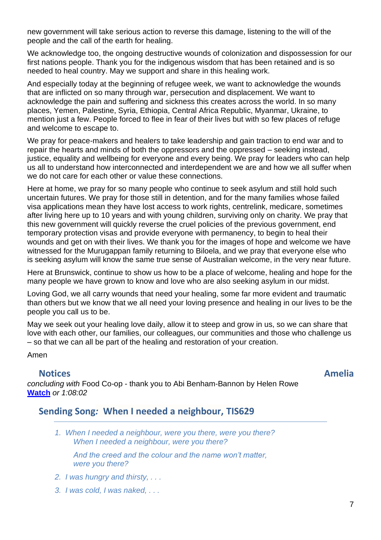new government will take serious action to reverse this damage, listening to the will of the people and the call of the earth for healing.

We acknowledge too, the ongoing destructive wounds of colonization and dispossession for our first nations people. Thank you for the indigenous wisdom that has been retained and is so needed to heal country. May we support and share in this healing work.

And especially today at the beginning of refugee week, we want to acknowledge the wounds that are inflicted on so many through war, persecution and displacement. We want to acknowledge the pain and suffering and sickness this creates across the world. In so many places, Yemen, Palestine, Syria, Ethiopia, Central Africa Republic, Myanmar, Ukraine, to mention just a few. People forced to flee in fear of their lives but with so few places of refuge and welcome to escape to.

We pray for peace-makers and healers to take leadership and gain traction to end war and to repair the hearts and minds of both the oppressors and the oppressed – seeking instead, justice, equality and wellbeing for everyone and every being. We pray for leaders who can help us all to understand how interconnected and interdependent we are and how we all suffer when we do not care for each other or value these connections.

Here at home, we pray for so many people who continue to seek asylum and still hold such uncertain futures. We pray for those still in detention, and for the many families whose failed visa applications mean they have lost access to work rights, centrelink, medicare, sometimes after living here up to 10 years and with young children, surviving only on charity. We pray that this new government will quickly reverse the cruel policies of the previous government, end temporary protection visas and provide everyone with permanency, to begin to heal their wounds and get on with their lives. We thank you for the images of hope and welcome we have witnessed for the Murugappan family returning to Biloela, and we pray that everyone else who is seeking asylum will know the same true sense of Australian welcome, in the very near future.

Here at Brunswick, continue to show us how to be a place of welcome, healing and hope for the many people we have grown to know and love who are also seeking asylum in our midst.

Loving God, we all carry wounds that need your healing, some far more evident and traumatic than others but we know that we all need your loving presence and healing in our lives to be the people you call us to be.

May we seek out your healing love daily, allow it to steep and grow in us, so we can share that love with each other, our families, our colleagues, our communities and those who challenge us – so that we can all be part of the healing and restoration of your creation.

Amen

# **Notices** Amelia

*concluding with* Food Co-op - thank you to Abi Benham-Bannon by Helen Rowe **[Watch](https://youtu.be/Rk8yOH8n0A4?t=4082)** *or 1:08:02*

# **Sending Song***:* **When I needed a neighbour, TIS629**

*1. When I needed a neighbour, were you there, were you there? When I needed a neighbour, were you there?*

*And the creed and the colour and the name won't matter, were you there?*

- *2. I was hungry and thirsty, . . .*
- *3. I was cold, I was naked, . . .*